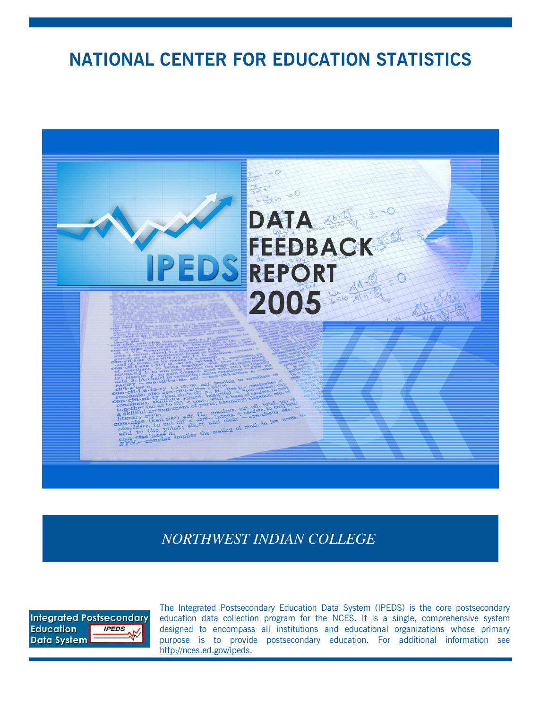# **NATIONAL CENTER FOR EDUCATION STATISTICS**



*NORTHWEST INDIAN COLLEGE*



The Integrated Postsecondary Education Data System (IPEDS) is the core postsecondary education data collection program for the NCES. It is a single, comprehensive system designed to encompass all institutions and educational organizations whose primary purpose is to provide postsecondary education. For additional information see http://nces.ed.gov/ipeds.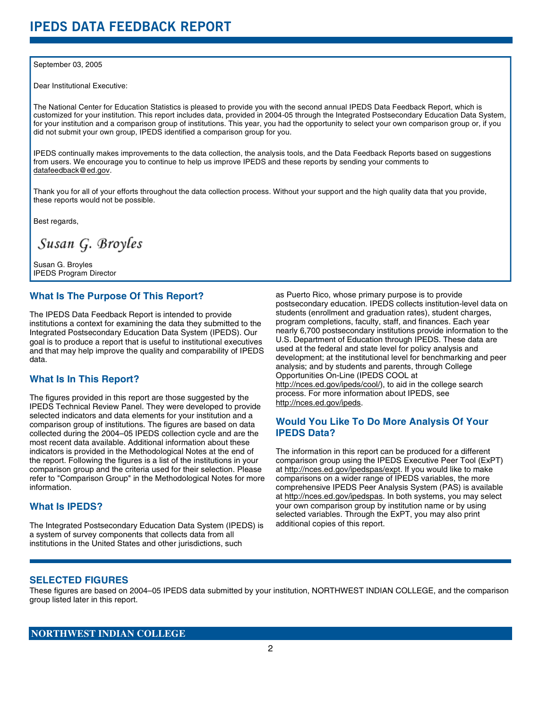#### September 03, 2005

Dear Institutional Executive:

The National Center for Education Statistics is pleased to provide you with the second annual IPEDS Data Feedback Report, which is customized for your institution. This report includes data, provided in 2004-05 through the Integrated Postsecondary Education Data System, for your institution and a comparison group of institutions. This year, you had the opportunity to select your own comparison group or, if you did not submit your own group, IPEDS identified a comparison group for you.

IPEDS continually makes improvements to the data collection, the analysis tools, and the Data Feedback Reports based on suggestions from users. We encourage you to continue to help us improve IPEDS and these reports by sending your comments to datafeedback@ed.gov.

Thank you for all of your efforts throughout the data collection process. Without your support and the high quality data that you provide, these reports would not be possible.

Best regards,

Susan G. Broyles

Susan G. Broyles IPEDS Program Director

### **What Is The Purpose Of This Report?**

The IPEDS Data Feedback Report is intended to provide institutions a context for examining the data they submitted to the Integrated Postsecondary Education Data System (IPEDS). Our goal is to produce a report that is useful to institutional executives and that may help improve the quality and comparability of IPEDS data.

# **What Is In This Report?**

The figures provided in this report are those suggested by the IPEDS Technical Review Panel. They were developed to provide selected indicators and data elements for your institution and a comparison group of institutions. The figures are based on data collected during the 2004–05 IPEDS collection cycle and are the most recent data available. Additional information about these indicators is provided in the Methodological Notes at the end of the report. Following the figures is a list of the institutions in your comparison group and the criteria used for their selection. Please refer to "Comparison Group" in the Methodological Notes for more information.

## **What Is IPEDS?**

The Integrated Postsecondary Education Data System (IPEDS) is a system of survey components that collects data from all institutions in the United States and other jurisdictions, such

as Puerto Rico, whose primary purpose is to provide postsecondary education. IPEDS collects institution-level data on students (enrollment and graduation rates), student charges, program completions, faculty, staff, and finances. Each year nearly 6,700 postsecondary institutions provide information to the U.S. Department of Education through IPEDS. These data are used at the federal and state level for policy analysis and development; at the institutional level for benchmarking and peer analysis; and by students and parents, through College Opportunities On-Line (IPEDS COOL at http://nces.ed.gov/ipeds/cool/), to aid in the college search process. For more information about IPEDS, see http://nces.ed.gov/ipeds.

# **Would You Like To Do More Analysis Of Your IPEDS Data?**

The information in this report can be produced for a different comparison group using the IPEDS Executive Peer Tool (ExPT) at http://nces.ed.gov/ipedspas/expt. If you would like to make comparisons on a wider range of IPEDS variables, the more comprehensive IPEDS Peer Analysis System (PAS) is available at http://nces.ed.gov/ipedspas. In both systems, you may select your own comparison group by institution name or by using selected variables. Through the ExPT, you may also print additional copies of this report.

### **SELECTED FIGURES**

These figures are based on 2004–05 IPEDS data submitted by your institution, NORTHWEST INDIAN COLLEGE, and the comparison group listed later in this report.

### **NORTHWEST INDIAN COLLEGE**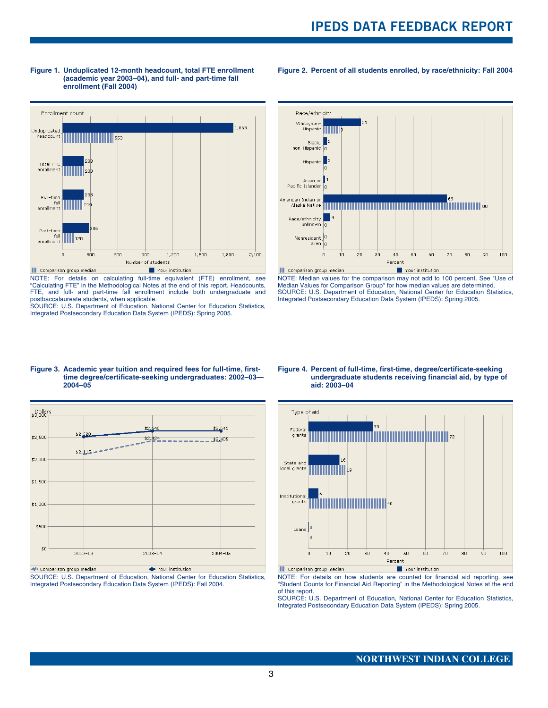#### **Figure 1. Unduplicated 12-month headcount, total FTE enrollment (academic year 2003–04), and full- and part-time fall enrollment (Fall 2004)**



NOTE: For details on calculating full-time equivalent (FTE) enrollment, see "Calculating FTE" in the Methodological Notes at the end of this report. Headcounts, FTE, and full- and part-time fall enrollment include both undergraduate and postbaccalaureate students, when applicable.

SOURCE: U.S. Department of Education, National Center for Education Statistics, Integrated Postsecondary Education Data System (IPEDS): Spring 2005.



**Figure 2. Percent of all students enrolled, by race/ethnicity: Fall 2004**

NOTE: Median values for the comparison may not add to 100 percent. See "Use of Median Values for Comparison Group" for how median values are determined. SOURCE: U.S. Department of Education, National Center for Education Statistics, Integrated Postsecondary Education Data System (IPEDS): Spring 2005.

#### **Figure 3. Academic year tuition and required fees for full-time, firsttime degree/certificate-seeking undergraduates: 2002–03— 2004–05**



SOURCE: U.S. Department of Education, National Center for Education Statistics, Integrated Postsecondary Education Data System (IPEDS): Fall 2004.

#### **Figure 4. Percent of full-time, first-time, degree/certificate-seeking undergraduate students receiving financial aid, by type of aid: 2003–04**



NOTE: For details on how students are counted for financial aid reporting, see "Student Counts for Financial Aid Reporting" in the Methodological Notes at the end of this report.

SOURCE: U.S. Department of Education, National Center for Education Statistics, Integrated Postsecondary Education Data System (IPEDS): Spring 2005.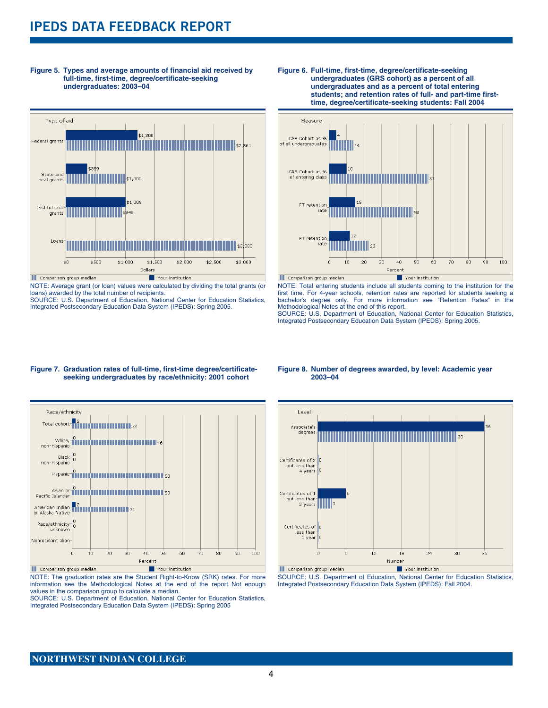# **IPEDS DATA FEEDBACK REPORT**



**Figure 5. Types and average amounts of financial aid received by full-time, first-time, degree/certificate-seeking undergraduates: 2003–04**

NOTE: Average grant (or loan) values were calculated by dividing the total grants (or loans) awarded by the total number of recipients. SOURCE: U.S. Department of Education, National Center for Education Statistics,

Integrated Postsecondary Education Data System (IPEDS): Spring 2005.





NOTE: Total entering students include all students coming to the institution for the first time. For 4-year schools, retention rates are reported for students seeking a bachelor's degree only. For more information see "Retention Rates" in the Methodological Notes at the end of this report.

SOURCE: U.S. Department of Education, National Center for Education Statistics, Integrated Postsecondary Education Data System (IPEDS): Spring 2005.

#### **Figure 7. Graduation rates of full-time, first-time degree/certificateseeking undergraduates by race/ethnicity: 2001 cohort**



NOTE: The graduation rates are the Student Right-to-Know (SRK) rates. For more information see the Methodological Notes at the end of the report. Not enough values in the comparison group to calculate a median.

SOURCE: U.S. Department of Education, National Center for Education Statistics, Integrated Postsecondary Education Data System (IPEDS): Spring 2005

#### **Figure 8. Number of degrees awarded, by level: Academic year 2003–04**



SOURCE: U.S. Department of Education, National Center for Education Statistics, Integrated Postsecondary Education Data System (IPEDS): Fall 2004.

### **NORTHWEST INDIAN COLLEGE**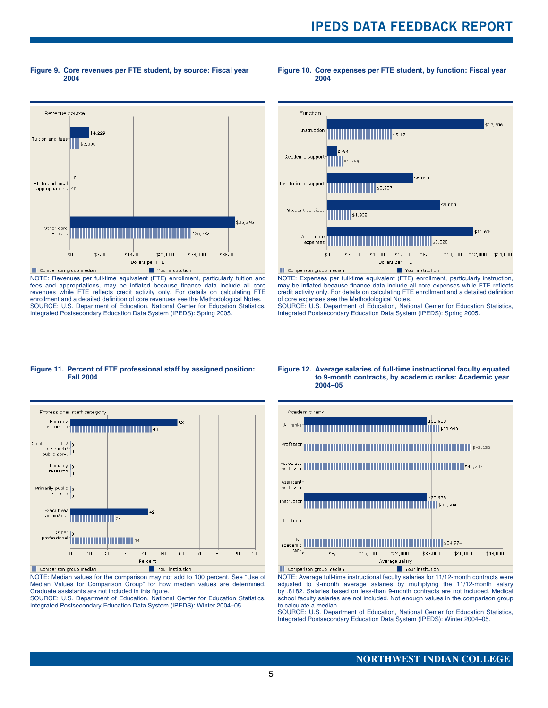**Figure 9. Core revenues per FTE student, by source: Fiscal year 2004**

**Figure 10. Core expenses per FTE student, by function: Fiscal year 2004**



NOTE: Revenues per full-time equivalent (FTE) enrollment, particularly tuition and fees and appropriations, may be inflated because finance data include all core revenues while FTE reflects credit activity only. For details on calculating FTE enrollment and a detailed definition of core revenues see the Methodological Notes. SOURCE: U.S. Department of Education, National Center for Education Statistics, Integrated Postsecondary Education Data System (IPEDS): Spring 2005.



NOTE: Expenses per full-time equivalent (FTE) enrollment, particularly instruction, may be inflated because finance data include all core expenses while FTE reflects credit activity only. For details on calculating FTE enrollment and a detailed definition of core expenses see the Methodological Notes.

SOURCE: U.S. Department of Education, National Center for Education Statistics, Integrated Postsecondary Education Data System (IPEDS): Spring 2005.

#### **Figure 11. Percent of FTE professional staff by assigned position: Fall 2004**



NOTE: Median values for the comparison may not add to 100 percent. See "Use of Median Values for Comparison Group" for how median values are determined. Graduate assistants are not included in this figure.

SOURCE: U.S. Department of Education, National Center for Education Statistics, Integrated Postsecondary Education Data System (IPEDS): Winter 2004–05.

#### **Figure 12. Average salaries of full-time instructional faculty equated to 9-month contracts, by academic ranks: Academic year 2004–05**



NOTE: Average full-time instructional faculty salaries for 11/12-month contracts were adjusted to 9-month average salaries by multiplying the 11/12-month salary by .8182. Salaries based on less-than 9-month contracts are not included. Medical school faculty salaries are not included. Not enough values in the comparison group to calculate a median.

SOURCE: U.S. Department of Education, National Center for Education Statistics, Integrated Postsecondary Education Data System (IPEDS): Winter 2004–05.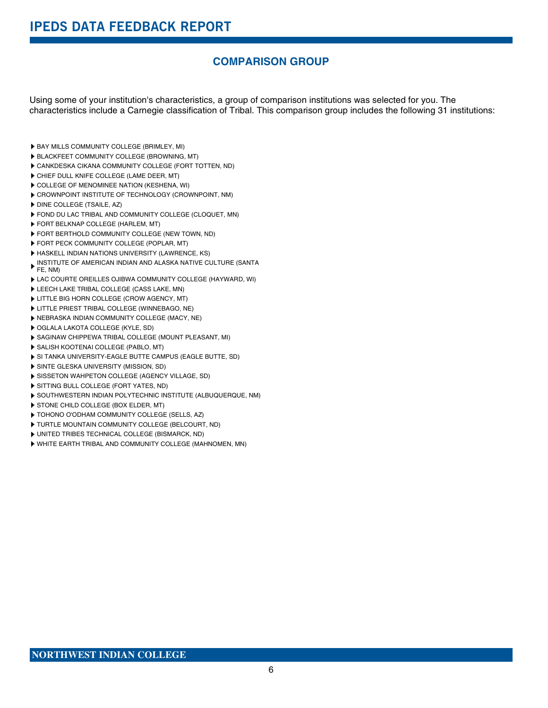# **COMPARISON GROUP**

Using some of your institution's characteristics, a group of comparison institutions was selected for you. The characteristics include a Carnegie classification of Tribal. This comparison group includes the following 31 institutions:

- BAY MILLS COMMUNITY COLLEGE (BRIMLEY, MI)
- BLACKFEET COMMUNITY COLLEGE (BROWNING, MT)
- CANKDESKA CIKANA COMMUNITY COLLEGE (FORT TOTTEN, ND)
- CHIEF DULL KNIFE COLLEGE (LAME DEER, MT)
- COLLEGE OF MENOMINEE NATION (KESHENA, WI)
- CROWNPOINT INSTITUTE OF TECHNOLOGY (CROWNPOINT, NM)
- **DINE COLLEGE (TSAILE, AZ)**
- FOND DU LAC TRIBAL AND COMMUNITY COLLEGE (CLOQUET, MN)
- FORT BELKNAP COLLEGE (HARLEM, MT)
- FORT BERTHOLD COMMUNITY COLLEGE (NEW TOWN, ND)
- FORT PECK COMMUNITY COLLEGE (POPLAR, MT)
- **HASKELL INDIAN NATIONS UNIVERSITY (LAWRENCE, KS)**
- INSTITUTE OF AMERICAN INDIAN AND ALASKA NATIVE CULTURE (SANTA FE, NM)
- LAC COURTE OREILLES OJIBWA COMMUNITY COLLEGE (HAYWARD, WI)
- LEECH LAKE TRIBAL COLLEGE (CASS LAKE, MN)
- LITTLE BIG HORN COLLEGE (CROW AGENCY, MT)
- LITTLE PRIEST TRIBAL COLLEGE (WINNEBAGO, NE)
- NEBRASKA INDIAN COMMUNITY COLLEGE (MACY, NE)
- OGLALA LAKOTA COLLEGE (KYLE, SD)
- SAGINAW CHIPPEWA TRIBAL COLLEGE (MOUNT PLEASANT, MI)
- SALISH KOOTENAI COLLEGE (PABLO, MT)
- SI TANKA UNIVERSITY-EAGLE BUTTE CAMPUS (EAGLE BUTTE, SD)
- **SINTE GLESKA UNIVERSITY (MISSION, SD)**
- SISSETON WAHPETON COLLEGE (AGENCY VILLAGE, SD)
- SITTING BULL COLLEGE (FORT YATES, ND)
- SOUTHWESTERN INDIAN POLYTECHNIC INSTITUTE (ALBUQUERQUE, NM)
- STONE CHILD COLLEGE (BOX ELDER, MT)
- TOHONO O'ODHAM COMMUNITY COLLEGE (SELLS, AZ)
- TURTLE MOUNTAIN COMMUNITY COLLEGE (BELCOURT, ND)
- UNITED TRIBES TECHNICAL COLLEGE (BISMARCK, ND)
- WHITE EARTH TRIBAL AND COMMUNITY COLLEGE (MAHNOMEN, MN)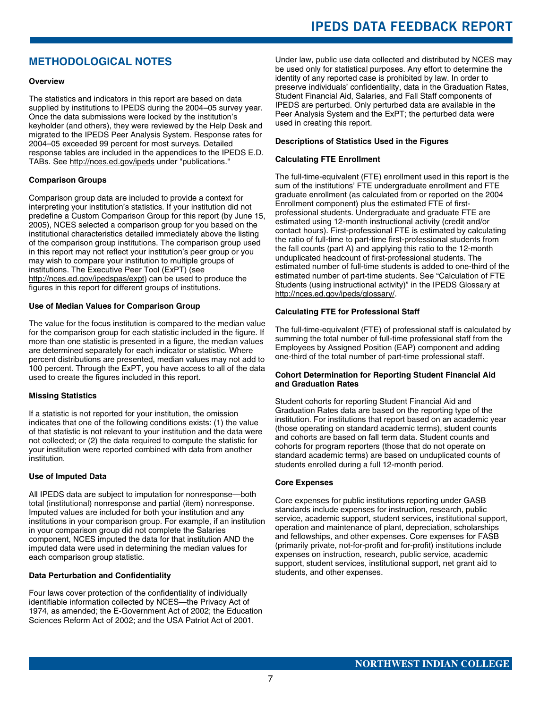# **IPEDS DATA FEEDBACK REPORT**

# **METHODOLOGICAL NOTES**

#### **Overview**

The statistics and indicators in this report are based on data supplied by institutions to IPEDS during the 2004–05 survey year. Once the data submissions were locked by the institution's keyholder (and others), they were reviewed by the Help Desk and migrated to the IPEDS Peer Analysis System. Response rates for 2004–05 exceeded 99 percent for most surveys. Detailed response tables are included in the appendices to the IPEDS E.D. TABs. See http://nces.ed.gov/ipeds under "publications."

#### **Comparison Groups**

Comparison group data are included to provide a context for interpreting your institution's statistics. If your institution did not predefine a Custom Comparison Group for this report (by June 15, 2005), NCES selected a comparison group for you based on the institutional characteristics detailed immediately above the listing of the comparison group institutions. The comparison group used in this report may not reflect your institution's peer group or you may wish to compare your institution to multiple groups of institutions. The Executive Peer Tool (ExPT) (see http://nces.ed.gov/ipedspas/expt) can be used to produce the figures in this report for different groups of institutions.

#### **Use of Median Values for Comparison Group**

The value for the focus institution is compared to the median value for the comparison group for each statistic included in the figure. If more than one statistic is presented in a figure, the median values are determined separately for each indicator or statistic. Where percent distributions are presented, median values may not add to 100 percent. Through the ExPT, you have access to all of the data used to create the figures included in this report.

#### **Missing Statistics**

If a statistic is not reported for your institution, the omission indicates that one of the following conditions exists: (1) the value of that statistic is not relevant to your institution and the data were not collected; or (2) the data required to compute the statistic for your institution were reported combined with data from another institution.

#### **Use of Imputed Data**

All IPEDS data are subject to imputation for nonresponse—both total (institutional) nonresponse and partial (item) nonresponse. Imputed values are included for both your institution and any institutions in your comparison group. For example, if an institution in your comparison group did not complete the Salaries component, NCES imputed the data for that institution AND the imputed data were used in determining the median values for each comparison group statistic.

#### **Data Perturbation and Confidentiality**

Four laws cover protection of the confidentiality of individually identifiable information collected by NCES—the Privacy Act of 1974, as amended; the E-Government Act of 2002; the Education Sciences Reform Act of 2002; and the USA Patriot Act of 2001.

Under law, public use data collected and distributed by NCES may be used only for statistical purposes. Any effort to determine the identity of any reported case is prohibited by law. In order to preserve individuals' confidentiality, data in the Graduation Rates, Student Financial Aid, Salaries, and Fall Staff components of IPEDS are perturbed. Only perturbed data are available in the Peer Analysis System and the ExPT; the perturbed data were used in creating this report.

#### **Descriptions of Statistics Used in the Figures**

#### **Calculating FTE Enrollment**

The full-time-equivalent (FTE) enrollment used in this report is the sum of the institutions' FTE undergraduate enrollment and FTE graduate enrollment (as calculated from or reported on the 2004 Enrollment component) plus the estimated FTE of firstprofessional students. Undergraduate and graduate FTE are estimated using 12-month instructional activity (credit and/or contact hours). First-professional FTE is estimated by calculating the ratio of full-time to part-time first-professional students from the fall counts (part A) and applying this ratio to the 12-month unduplicated headcount of first-professional students. The estimated number of full-time students is added to one-third of the estimated number of part-time students. See "Calculation of FTE Students (using instructional activity)" in the IPEDS Glossary at http://nces.ed.gov/ipeds/glossary/.

#### **Calculating FTE for Professional Staff**

The full-time-equivalent (FTE) of professional staff is calculated by summing the total number of full-time professional staff from the Employees by Assigned Position (EAP) component and adding one-third of the total number of part-time professional staff.

#### **Cohort Determination for Reporting Student Financial Aid and Graduation Rates**

Student cohorts for reporting Student Financial Aid and Graduation Rates data are based on the reporting type of the institution. For institutions that report based on an academic year (those operating on standard academic terms), student counts and cohorts are based on fall term data. Student counts and cohorts for program reporters (those that do not operate on standard academic terms) are based on unduplicated counts of students enrolled during a full 12-month period.

#### **Core Expenses**

Core expenses for public institutions reporting under GASB standards include expenses for instruction, research, public service, academic support, student services, institutional support, operation and maintenance of plant, depreciation, scholarships and fellowships, and other expenses. Core expenses for FASB (primarily private, not-for-profit and for-profit) institutions include expenses on instruction, research, public service, academic support, student services, institutional support, net grant aid to students, and other expenses.